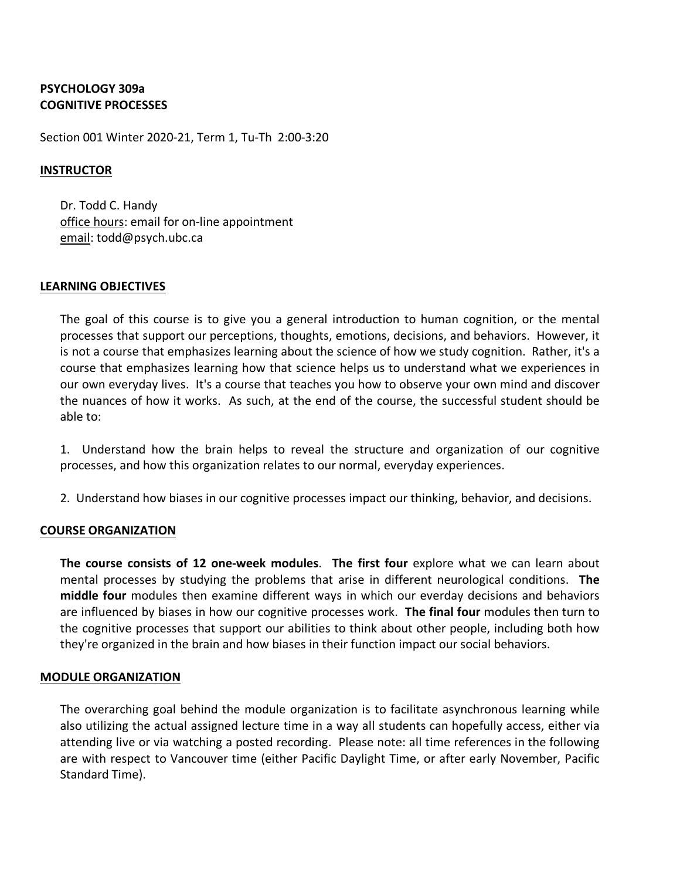# **PSYCHOLOGY 309a COGNITIVE PROCESSES**

Section 001 Winter 2020-21, Term 1, Tu-Th 2:00-3:20

## **INSTRUCTOR**

Dr. Todd C. Handy office hours: email for on-line appointment email: todd@psych.ubc.ca

## **LEARNING OBJECTIVES**

The goal of this course is to give you a general introduction to human cognition, or the mental processes that support our perceptions, thoughts, emotions, decisions, and behaviors. However, it is not a course that emphasizes learning about the science of how we study cognition. Rather, it's a course that emphasizes learning how that science helps us to understand what we experiences in our own everyday lives. It's a course that teaches you how to observe your own mind and discover the nuances of how it works. As such, at the end of the course, the successful student should be able to:

1. Understand how the brain helps to reveal the structure and organization of our cognitive processes, and how this organization relates to our normal, everyday experiences.

2. Understand how biases in our cognitive processes impact our thinking, behavior, and decisions.

### **COURSE ORGANIZATION**

**The course consists of 12 one-week modules**. **The first four** explore what we can learn about mental processes by studying the problems that arise in different neurological conditions. **The middle four** modules then examine different ways in which our everday decisions and behaviors are influenced by biases in how our cognitive processes work. **The final four** modules then turn to the cognitive processes that support our abilities to think about other people, including both how they're organized in the brain and how biases in their function impact our social behaviors.

### **MODULE ORGANIZATION**

The overarching goal behind the module organization is to facilitate asynchronous learning while also utilizing the actual assigned lecture time in a way all students can hopefully access, either via attending live or via watching a posted recording. Please note: all time references in the following are with respect to Vancouver time (either Pacific Daylight Time, or after early November, Pacific Standard Time).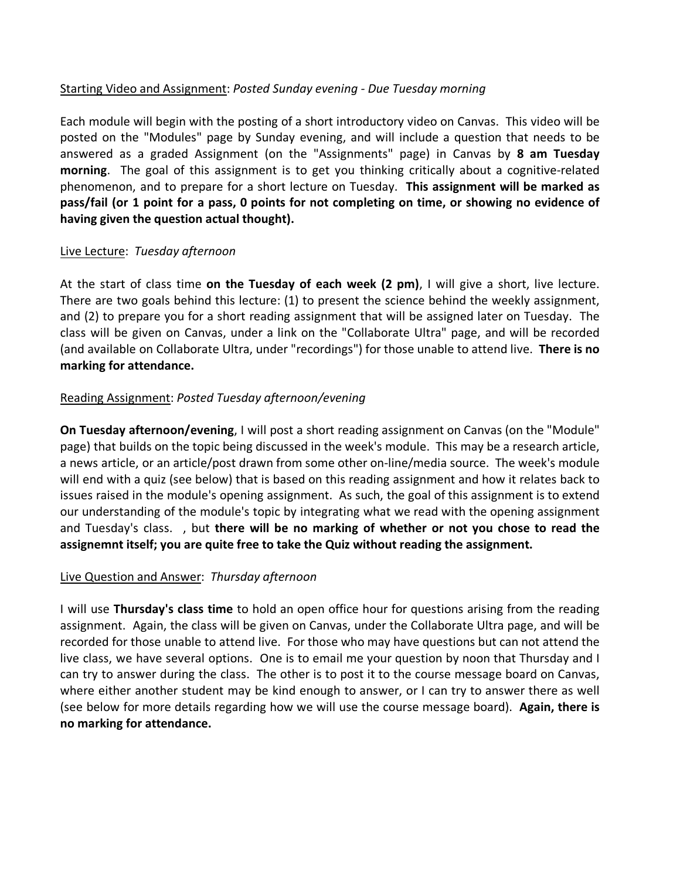# Starting Video and Assignment: *Posted Sunday evening - Due Tuesday morning*

Each module will begin with the posting of a short introductory video on Canvas. This video will be posted on the "Modules" page by Sunday evening, and will include a question that needs to be answered as a graded Assignment (on the "Assignments" page) in Canvas by **8 am Tuesday morning**. The goal of this assignment is to get you thinking critically about a cognitive-related phenomenon, and to prepare for a short lecture on Tuesday. **This assignment will be marked as pass/fail (or 1 point for a pass, 0 points for not completing on time, or showing no evidence of having given the question actual thought).**

## Live Lecture: *Tuesday afternoon*

At the start of class time **on the Tuesday of each week (2 pm)**, I will give a short, live lecture. There are two goals behind this lecture: (1) to present the science behind the weekly assignment, and (2) to prepare you for a short reading assignment that will be assigned later on Tuesday. The class will be given on Canvas, under a link on the "Collaborate Ultra" page, and will be recorded (and available on Collaborate Ultra, under "recordings") for those unable to attend live. **There is no marking for attendance.**

# Reading Assignment: *Posted Tuesday afternoon/evening*

**On Tuesday afternoon/evening**, I will post a short reading assignment on Canvas (on the "Module" page) that builds on the topic being discussed in the week's module. This may be a research article, a news article, or an article/post drawn from some other on-line/media source. The week's module will end with a quiz (see below) that is based on this reading assignment and how it relates back to issues raised in the module's opening assignment. As such, the goal of this assignment is to extend our understanding of the module's topic by integrating what we read with the opening assignment and Tuesday's class. , but **there will be no marking of whether or not you chose to read the assignemnt itself; you are quite free to take the Quiz without reading the assignment.**

## Live Question and Answer: *Thursday afternoon*

I will use **Thursday's class time** to hold an open office hour for questions arising from the reading assignment. Again, the class will be given on Canvas, under the Collaborate Ultra page, and will be recorded for those unable to attend live. For those who may have questions but can not attend the live class, we have several options. One is to email me your question by noon that Thursday and I can try to answer during the class. The other is to post it to the course message board on Canvas, where either another student may be kind enough to answer, or I can try to answer there as well (see below for more details regarding how we will use the course message board). **Again, there is no marking for attendance.**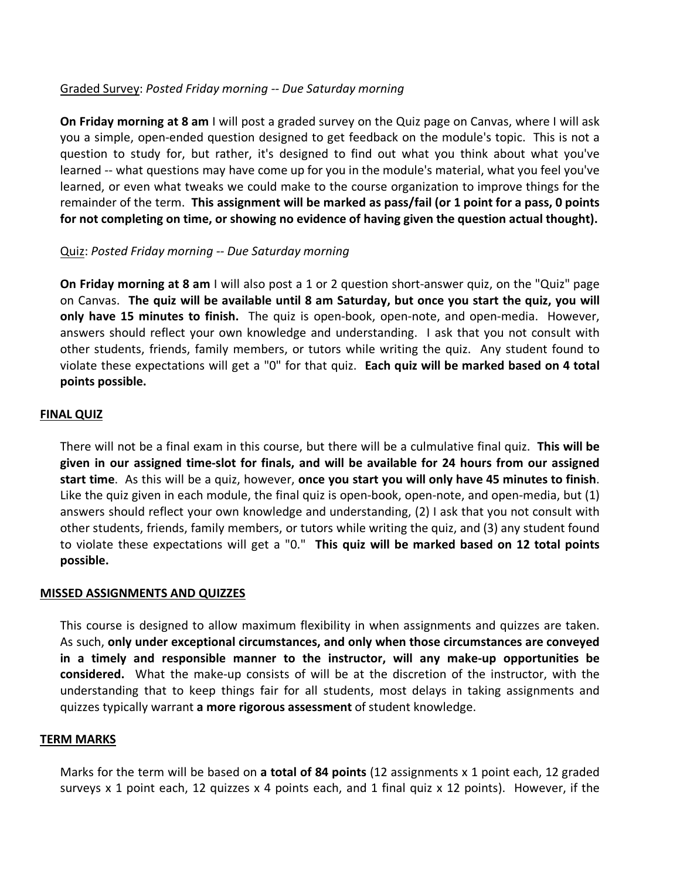# Graded Survey: *Posted Friday morning -- Due Saturday morning*

**On Friday morning at 8 am** I will post a graded survey on the Quiz page on Canvas, where I will ask you a simple, open-ended question designed to get feedback on the module's topic. This is not a question to study for, but rather, it's designed to find out what you think about what you've learned -- what questions may have come up for you in the module's material, what you feel you've learned, or even what tweaks we could make to the course organization to improve things for the remainder of the term. **This assignment will be marked as pass/fail (or 1 point for a pass, 0 points for not completing on time, or showing no evidence of having given the question actual thought).**

## Quiz: *Posted Friday morning -- Due Saturday morning*

**On Friday morning at 8 am** I will also post a 1 or 2 question short-answer quiz, on the "Quiz" page on Canvas. **The quiz will be available until 8 am Saturday, but once you start the quiz, you will only have 15 minutes to finish.** The quiz is open-book, open-note, and open-media. However, answers should reflect your own knowledge and understanding. I ask that you not consult with other students, friends, family members, or tutors while writing the quiz. Any student found to violate these expectations will get a "0" for that quiz. **Each quiz will be marked based on 4 total points possible.**

## **FINAL QUIZ**

There will not be a final exam in this course, but there will be a culmulative final quiz. **This will be given in our assigned time-slot for finals, and will be available for 24 hours from our assigned start time**. As this will be a quiz, however, **once you start you will only have 45 minutes to finish**. Like the quiz given in each module, the final quiz is open-book, open-note, and open-media, but (1) answers should reflect your own knowledge and understanding, (2) I ask that you not consult with other students, friends, family members, or tutors while writing the quiz, and (3) any student found to violate these expectations will get a "0." **This quiz will be marked based on 12 total points possible.**

## **MISSED ASSIGNMENTS AND QUIZZES**

This course is designed to allow maximum flexibility in when assignments and quizzes are taken. As such, **only under exceptional circumstances, and only when those circumstances are conveyed in a timely and responsible manner to the instructor, will any make-up opportunities be considered.** What the make-up consists of will be at the discretion of the instructor, with the understanding that to keep things fair for all students, most delays in taking assignments and quizzes typically warrant **a more rigorous assessment** of student knowledge.

## **TERM MARKS**

Marks for the term will be based on **a total of 84 points** (12 assignments x 1 point each, 12 graded surveys x 1 point each, 12 quizzes x 4 points each, and 1 final quiz x 12 points). However, if the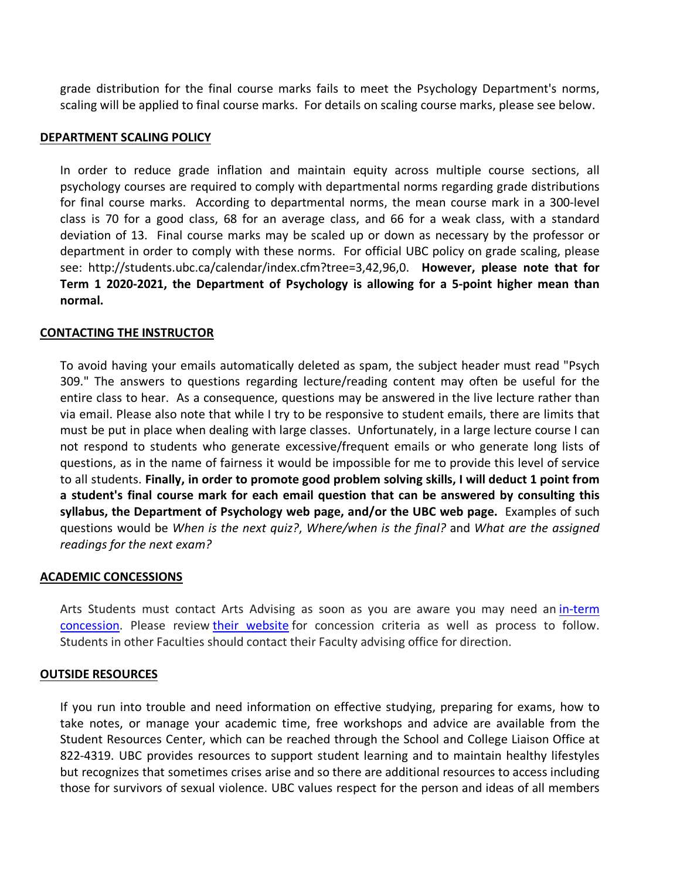grade distribution for the final course marks fails to meet the Psychology Department's norms, scaling will be applied to final course marks. For details on scaling course marks, please see below.

### **DEPARTMENT SCALING POLICY**

In order to reduce grade inflation and maintain equity across multiple course sections, all psychology courses are required to comply with departmental norms regarding grade distributions for final course marks. According to departmental norms, the mean course mark in a 300-level class is 70 for a good class, 68 for an average class, and 66 for a weak class, with a standard deviation of 13. Final course marks may be scaled up or down as necessary by the professor or department in order to comply with these norms. For official UBC policy on grade scaling, please see: http://students.ubc.ca/calendar/index.cfm?tree=3,42,96,0. **However, please note that for Term 1 2020-2021, the Department of Psychology is allowing for a 5-point higher mean than normal.**

### **CONTACTING THE INSTRUCTOR**

To avoid having your emails automatically deleted as spam, the subject header must read "Psych 309." The answers to questions regarding lecture/reading content may often be useful for the entire class to hear. As a consequence, questions may be answered in the live lecture rather than via email. Please also note that while I try to be responsive to student emails, there are limits that must be put in place when dealing with large classes. Unfortunately, in a large lecture course I can not respond to students who generate excessive/frequent emails or who generate long lists of questions, as in the name of fairness it would be impossible for me to provide this level of service to all students. **Finally, in order to promote good problem solving skills, I will deduct 1 point from a student's final course mark for each email question that can be answered by consulting this syllabus, the Department of Psychology web page, and/or the UBC web page.** Examples of such questions would be *When is the next quiz?*, *Where/when is the final?* and *What are the assigned readings for the next exam?*

#### **ACADEMIC CONCESSIONS**

Arts Students must contact Arts Advising as soon as you are aware you may need an in-term concession. Please review their website for concession criteria as well as process to follow. Students in other Faculties should contact their Faculty advising office for direction.

#### **OUTSIDE RESOURCES**

If you run into trouble and need information on effective studying, preparing for exams, how to take notes, or manage your academic time, free workshops and advice are available from the Student Resources Center, which can be reached through the School and College Liaison Office at 822-4319. UBC provides resources to support student learning and to maintain healthy lifestyles but recognizes that sometimes crises arise and so there are additional resources to access including those for survivors of sexual violence. UBC values respect for the person and ideas of all members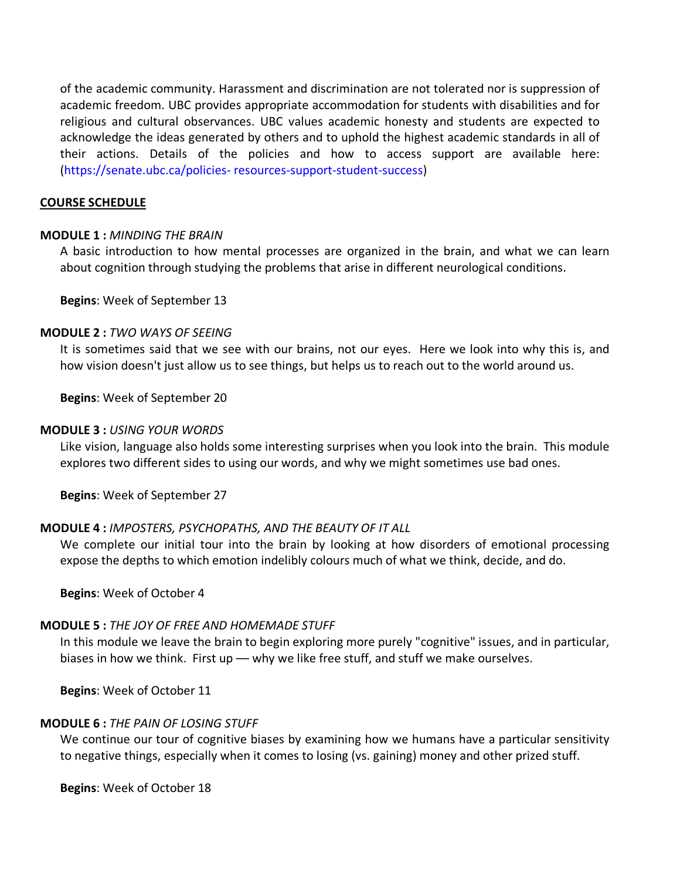of the academic community. Harassment and discrimination are not tolerated nor is suppression of academic freedom. UBC provides appropriate accommodation for students with disabilities and for religious and cultural observances. UBC values academic honesty and students are expected to acknowledge the ideas generated by others and to uphold the highest academic standards in all of their actions. Details of the policies and how to access support are available here: (https://senate.ubc.ca/policies- resources-support-student-success)

### **COURSE SCHEDULE**

## **MODULE 1 :** *MINDING THE BRAIN*

A basic introduction to how mental processes are organized in the brain, and what we can learn about cognition through studying the problems that arise in different neurological conditions.

**Begins**: Week of September 13

### **MODULE 2 :** *TWO WAYS OF SEEING*

It is sometimes said that we see with our brains, not our eyes. Here we look into why this is, and how vision doesn't just allow us to see things, but helps us to reach out to the world around us.

**Begins**: Week of September 20

## **MODULE 3 :** *USING YOUR WORDS*

Like vision, language also holds some interesting surprises when you look into the brain. This module explores two different sides to using our words, and why we might sometimes use bad ones.

**Begins**: Week of September 27

## **MODULE 4 :** *IMPOSTERS, PSYCHOPATHS, AND THE BEAUTY OF IT ALL*

We complete our initial tour into the brain by looking at how disorders of emotional processing expose the depths to which emotion indelibly colours much of what we think, decide, and do.

**Begins**: Week of October 4

### **MODULE 5 :** *THE JOY OF FREE AND HOMEMADE STUFF*

In this module we leave the brain to begin exploring more purely "cognitive" issues, and in particular, biases in how we think. First up — why we like free stuff, and stuff we make ourselves.

**Begins**: Week of October 11

### **MODULE 6 :** *THE PAIN OF LOSING STUFF*

We continue our tour of cognitive biases by examining how we humans have a particular sensitivity to negative things, especially when it comes to losing (vs. gaining) money and other prized stuff.

**Begins**: Week of October 18